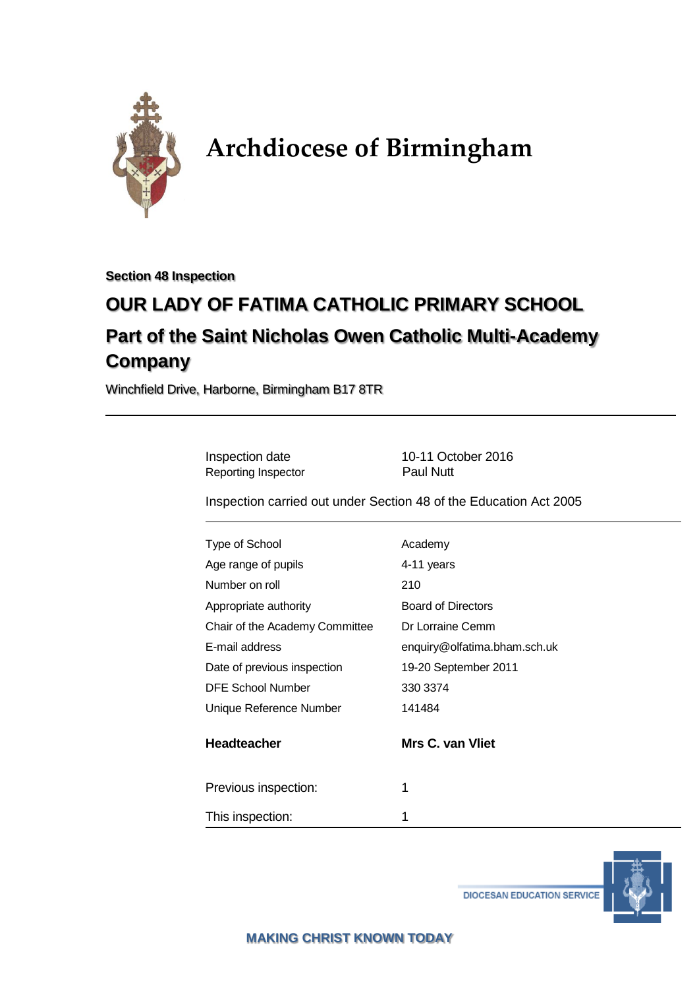

# **Archdiocese of Birmingham**

**Section 48 Inspection**

# **OUR LADY OF FATIMA CATHOLIC PRIMARY SCHOOL Part of the Saint Nicholas Owen Catholic Multi-Academy Company**

Winchfield Drive, Harborne, Birmingham B17 8TR

Inspection date 10-11 October 2016 Reporting Inspector **Paul Nutt** Inspection carried out under Section 48 of the Education Act 2005 Type of School and Academy Age range of pupils 4-11 years Number on roll 210 Appropriate authority **Board of Directors** Chair of the Academy Committee Dr Lorraine Cemm E-mail address enquiry@olfatima.bham.sch.uk Date of previous inspection 19-20 September 2011 DFE School Number 330 3374 Unique Reference Number 141484 **Headteacher Mrs C. van Vliet** Previous inspection: 1 This inspection: 1

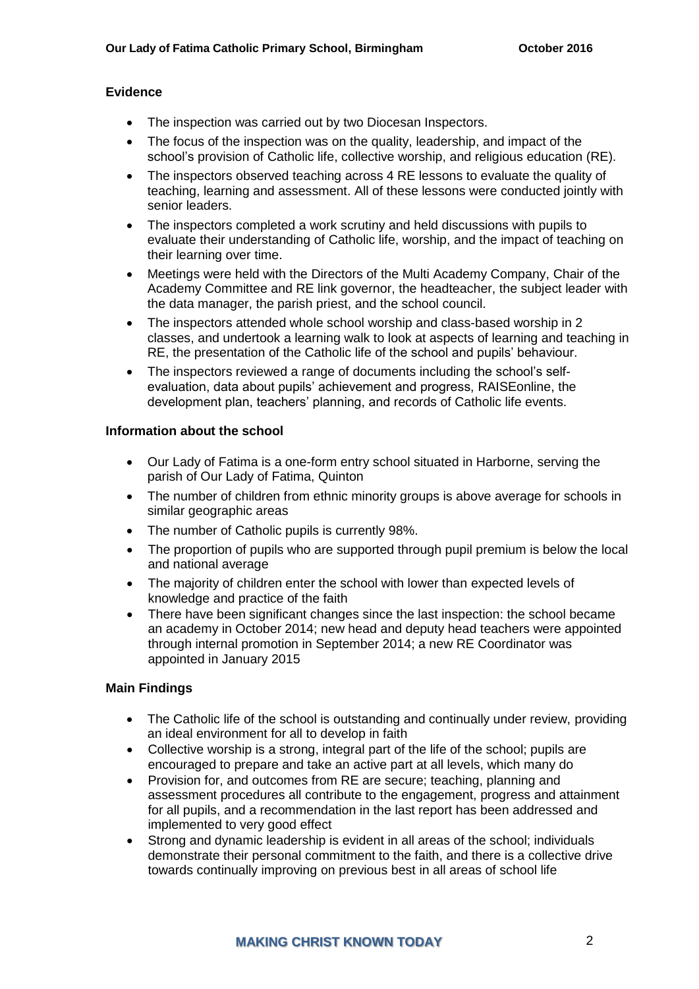#### **Evidence**

- The inspection was carried out by two Diocesan Inspectors.
- The focus of the inspection was on the quality, leadership, and impact of the school's provision of Catholic life, collective worship, and religious education (RE).
- The inspectors observed teaching across 4 RE lessons to evaluate the quality of teaching, learning and assessment. All of these lessons were conducted jointly with senior leaders.
- The inspectors completed a work scrutiny and held discussions with pupils to evaluate their understanding of Catholic life, worship, and the impact of teaching on their learning over time.
- Meetings were held with the Directors of the Multi Academy Company, Chair of the Academy Committee and RE link governor, the headteacher, the subject leader with the data manager, the parish priest, and the school council.
- The inspectors attended whole school worship and class-based worship in 2 classes, and undertook a learning walk to look at aspects of learning and teaching in RE, the presentation of the Catholic life of the school and pupils' behaviour.
- The inspectors reviewed a range of documents including the school's selfevaluation, data about pupils' achievement and progress, RAISEonline, the development plan, teachers' planning, and records of Catholic life events.

#### **Information about the school**

- Our Lady of Fatima is a one-form entry school situated in Harborne, serving the parish of Our Lady of Fatima, Quinton
- The number of children from ethnic minority groups is above average for schools in similar geographic areas
- The number of Catholic pupils is currently 98%.
- The proportion of pupils who are supported through pupil premium is below the local and national average
- The majority of children enter the school with lower than expected levels of knowledge and practice of the faith
- There have been significant changes since the last inspection: the school became an academy in October 2014; new head and deputy head teachers were appointed through internal promotion in September 2014; a new RE Coordinator was appointed in January 2015

### **Main Findings**

- The Catholic life of the school is outstanding and continually under review, providing an ideal environment for all to develop in faith
- Collective worship is a strong, integral part of the life of the school; pupils are encouraged to prepare and take an active part at all levels, which many do
- Provision for, and outcomes from RE are secure; teaching, planning and assessment procedures all contribute to the engagement, progress and attainment for all pupils, and a recommendation in the last report has been addressed and implemented to very good effect
- Strong and dynamic leadership is evident in all areas of the school; individuals demonstrate their personal commitment to the faith, and there is a collective drive towards continually improving on previous best in all areas of school life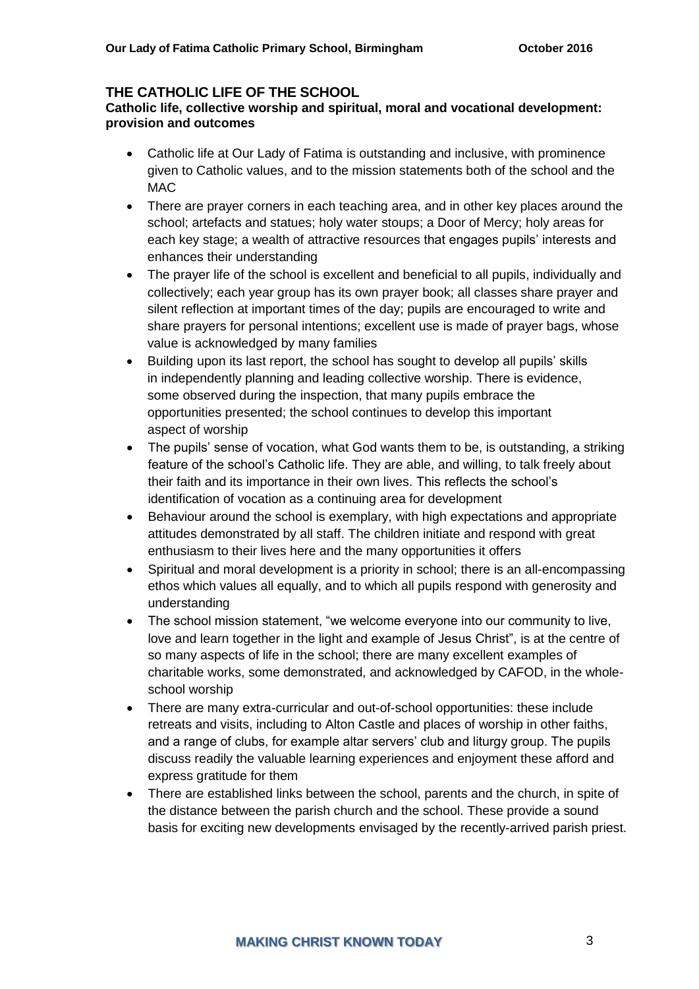## **THE CATHOLIC LIFE OF THE SCHOOL**

#### **Catholic life, collective worship and spiritual, moral and vocational development: provision and outcomes**

- Catholic life at Our Lady of Fatima is outstanding and inclusive, with prominence given to Catholic values, and to the mission statements both of the school and the MAC
- There are prayer corners in each teaching area, and in other key places around the school; artefacts and statues; holy water stoups; a Door of Mercy; holy areas for each key stage; a wealth of attractive resources that engages pupils' interests and enhances their understanding
- The prayer life of the school is excellent and beneficial to all pupils, individually and collectively; each year group has its own prayer book; all classes share prayer and silent reflection at important times of the day; pupils are encouraged to write and share prayers for personal intentions; excellent use is made of prayer bags, whose value is acknowledged by many families
- Building upon its last report, the school has sought to develop all pupils' skills in independently planning and leading collective worship. There is evidence, some observed during the inspection, that many pupils embrace the opportunities presented; the school continues to develop this important aspect of worship
- The pupils' sense of vocation, what God wants them to be, is outstanding, a striking feature of the school's Catholic life. They are able, and willing, to talk freely about their faith and its importance in their own lives. This reflects the school's identification of vocation as a continuing area for development
- Behaviour around the school is exemplary, with high expectations and appropriate attitudes demonstrated by all staff. The children initiate and respond with great enthusiasm to their lives here and the many opportunities it offers
- Spiritual and moral development is a priority in school; there is an all-encompassing ethos which values all equally, and to which all pupils respond with generosity and understanding
- The school mission statement, "we welcome everyone into our community to live, love and learn together in the light and example of Jesus Christ", is at the centre of so many aspects of life in the school; there are many excellent examples of charitable works, some demonstrated, and acknowledged by CAFOD, in the wholeschool worship
- There are many extra-curricular and out-of-school opportunities: these include retreats and visits, including to Alton Castle and places of worship in other faiths, and a range of clubs, for example altar servers' club and liturgy group. The pupils discuss readily the valuable learning experiences and enjoyment these afford and express gratitude for them
- There are established links between the school, parents and the church, in spite of the distance between the parish church and the school. These provide a sound basis for exciting new developments envisaged by the recently-arrived parish priest.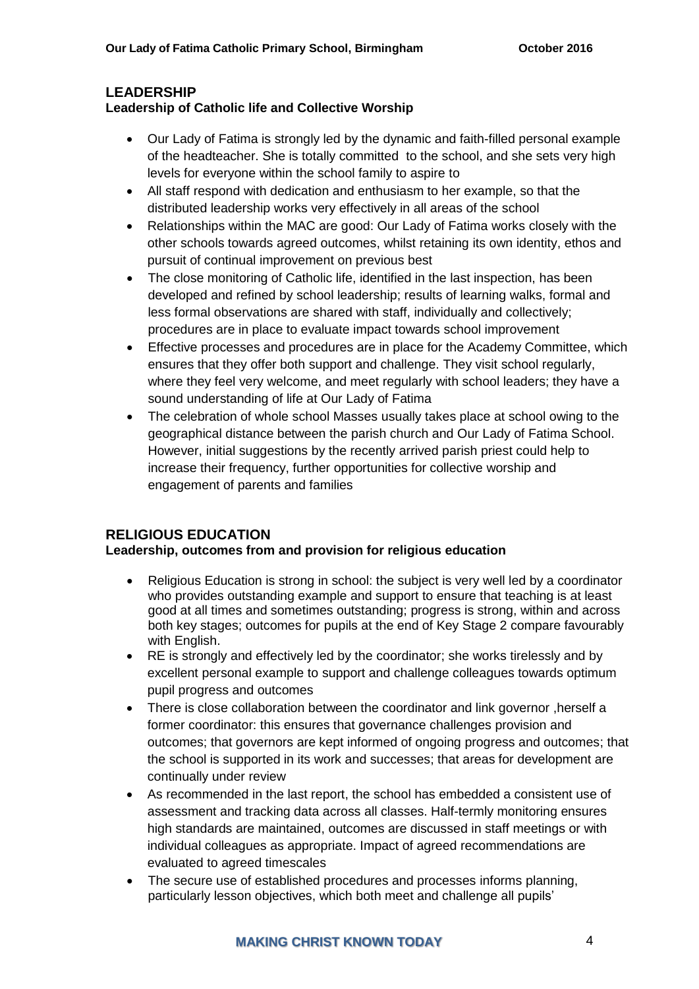# **LEADERSHIP**

# **Leadership of Catholic life and Collective Worship**

- Our Lady of Fatima is strongly led by the dynamic and faith-filled personal example of the headteacher. She is totally committed to the school, and she sets very high levels for everyone within the school family to aspire to
- All staff respond with dedication and enthusiasm to her example, so that the distributed leadership works very effectively in all areas of the school
- Relationships within the MAC are good: Our Lady of Fatima works closely with the other schools towards agreed outcomes, whilst retaining its own identity, ethos and pursuit of continual improvement on previous best
- The close monitoring of Catholic life, identified in the last inspection, has been developed and refined by school leadership; results of learning walks, formal and less formal observations are shared with staff, individually and collectively; procedures are in place to evaluate impact towards school improvement
- Effective processes and procedures are in place for the Academy Committee, which ensures that they offer both support and challenge. They visit school regularly, where they feel very welcome, and meet regularly with school leaders; they have a sound understanding of life at Our Lady of Fatima
- The celebration of whole school Masses usually takes place at school owing to the geographical distance between the parish church and Our Lady of Fatima School. However, initial suggestions by the recently arrived parish priest could help to increase their frequency, further opportunities for collective worship and engagement of parents and families

# **RELIGIOUS EDUCATION**

# **Leadership, outcomes from and provision for religious education**

- Religious Education is strong in school: the subject is very well led by a coordinator who provides outstanding example and support to ensure that teaching is at least good at all times and sometimes outstanding; progress is strong, within and across both key stages; outcomes for pupils at the end of Key Stage 2 compare favourably with English.
- RE is strongly and effectively led by the coordinator; she works tirelessly and by excellent personal example to support and challenge colleagues towards optimum pupil progress and outcomes
- There is close collaboration between the coordinator and link governor ,herself a former coordinator: this ensures that governance challenges provision and outcomes; that governors are kept informed of ongoing progress and outcomes; that the school is supported in its work and successes; that areas for development are continually under review
- As recommended in the last report, the school has embedded a consistent use of assessment and tracking data across all classes. Half-termly monitoring ensures high standards are maintained, outcomes are discussed in staff meetings or with individual colleagues as appropriate. Impact of agreed recommendations are evaluated to agreed timescales
- The secure use of established procedures and processes informs planning, particularly lesson objectives, which both meet and challenge all pupils'